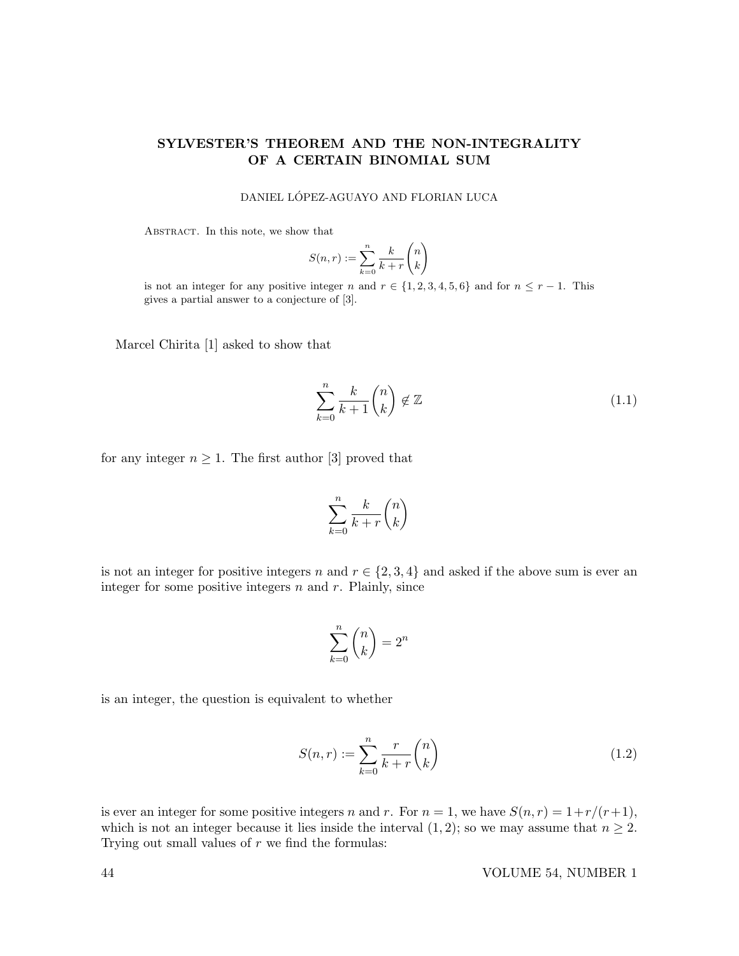# SYLVESTER'S THEOREM AND THE NON-INTEGRALITY OF A CERTAIN BINOMIAL SUM

DANIEL LÓPEZ-AGUAYO AND FLORIAN LUCA

ABSTRACT. In this note, we show that

$$
S(n,r) := \sum_{k=0}^{n} \frac{k}{k+r} \binom{n}{k}
$$

is not an integer for any positive integer n and  $r \in \{1, 2, 3, 4, 5, 6\}$  and for  $n \leq r - 1$ . This gives a partial answer to a conjecture of [3].

Marcel Chirita [1] asked to show that

$$
\sum_{k=0}^{n} \frac{k}{k+1} \binom{n}{k} \notin \mathbb{Z}
$$
 (1.1)

for any integer  $n \geq 1$ . The first author [3] proved that

$$
\sum_{k=0}^{n} \frac{k}{k+r} \binom{n}{k}
$$

is not an integer for positive integers n and  $r \in \{2, 3, 4\}$  and asked if the above sum is ever an integer for some positive integers  $n$  and  $r$ . Plainly, since

$$
\sum_{k=0}^{n} \binom{n}{k} = 2^n
$$

is an integer, the question is equivalent to whether

$$
S(n,r) := \sum_{k=0}^{n} \frac{r}{k+r} \binom{n}{k} \tag{1.2}
$$

is ever an integer for some positive integers n and r. For  $n = 1$ , we have  $S(n, r) = 1 + r/(r+1)$ , which is not an integer because it lies inside the interval  $(1, 2)$ ; so we may assume that  $n \geq 2$ . Trying out small values of  $r$  we find the formulas:

44 VOLUME 54, NUMBER 1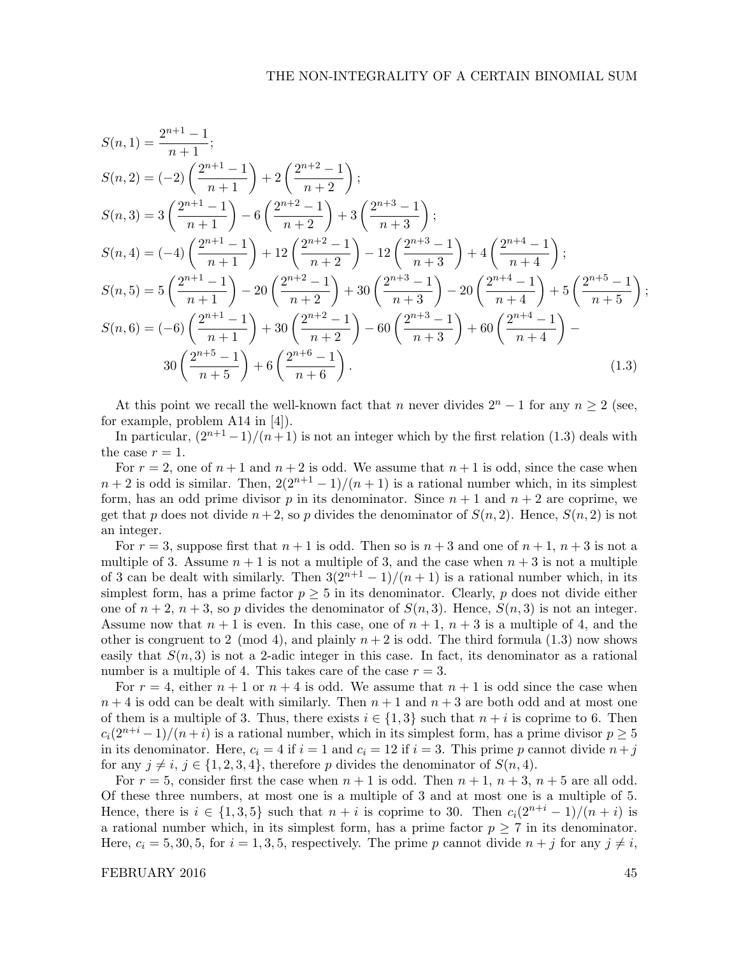$$
S(n,1) = \frac{2^{n+1}-1}{n+1};
$$
  
\n
$$
S(n,2) = (-2)\left(\frac{2^{n+1}-1}{n+1}\right) + 2\left(\frac{2^{n+2}-1}{n+2}\right);
$$
  
\n
$$
S(n,3) = 3\left(\frac{2^{n+1}-1}{n+1}\right) - 6\left(\frac{2^{n+2}-1}{n+2}\right) + 3\left(\frac{2^{n+3}-1}{n+3}\right);
$$
  
\n
$$
S(n,4) = (-4)\left(\frac{2^{n+1}-1}{n+1}\right) + 12\left(\frac{2^{n+2}-1}{n+2}\right) - 12\left(\frac{2^{n+3}-1}{n+3}\right) + 4\left(\frac{2^{n+4}-1}{n+4}\right);
$$
  
\n
$$
S(n,5) = 5\left(\frac{2^{n+1}-1}{n+1}\right) - 20\left(\frac{2^{n+2}-1}{n+2}\right) + 30\left(\frac{2^{n+3}-1}{n+3}\right) - 20\left(\frac{2^{n+4}-1}{n+4}\right) + 5\left(\frac{2^{n+5}-1}{n+5}\right);
$$
  
\n
$$
S(n,6) = (-6)\left(\frac{2^{n+1}-1}{n+1}\right) + 30\left(\frac{2^{n+2}-1}{n+2}\right) - 60\left(\frac{2^{n+3}-1}{n+3}\right) + 60\left(\frac{2^{n+4}-1}{n+4}\right) -
$$
  
\n
$$
30\left(\frac{2^{n+5}-1}{n+5}\right) + 6\left(\frac{2^{n+6}-1}{n+6}\right).
$$
  
\n(1.3)

At this point we recall the well-known fact that n never divides  $2^{n} - 1$  for any  $n \ge 2$  (see, for example, problem A14 in [4]).

In particular,  $\frac{(2^{n+1}-1)}{(n+1)}$  is not an integer which by the first relation (1.3) deals with the case  $r = 1$ .

For  $r = 2$ , one of  $n + 1$  and  $n + 2$  is odd. We assume that  $n + 1$  is odd, since the case when  $n+2$  is odd is similar. Then,  $2(2^{n+1}-1)/(n+1)$  is a rational number which, in its simplest form, has an odd prime divisor p in its denominator. Since  $n + 1$  and  $n + 2$  are coprime, we get that p does not divide  $n+2$ , so p divides the denominator of  $S(n, 2)$ . Hence,  $S(n, 2)$  is not an integer.

For  $r = 3$ , suppose first that  $n + 1$  is odd. Then so is  $n + 3$  and one of  $n + 1$ ,  $n + 3$  is not a multiple of 3. Assume  $n + 1$  is not a multiple of 3, and the case when  $n + 3$  is not a multiple of 3 can be dealt with similarly. Then  $3(2^{n+1} - 1)/(n+1)$  is a rational number which, in its simplest form, has a prime factor  $p \geq 5$  in its denominator. Clearly, p does not divide either one of  $n+2$ ,  $n+3$ , so p divides the denominator of  $S(n,3)$ . Hence,  $S(n,3)$  is not an integer. Assume now that  $n + 1$  is even. In this case, one of  $n + 1$ ,  $n + 3$  is a multiple of 4, and the other is congruent to 2 (mod 4), and plainly  $n+2$  is odd. The third formula (1.3) now shows easily that  $S(n, 3)$  is not a 2-adic integer in this case. In fact, its denominator as a rational number is a multiple of 4. This takes care of the case  $r = 3$ .

For  $r = 4$ , either  $n + 1$  or  $n + 4$  is odd. We assume that  $n + 1$  is odd since the case when  $n+4$  is odd can be dealt with similarly. Then  $n+1$  and  $n+3$  are both odd and at most one of them is a multiple of 3. Thus, there exists  $i \in \{1,3\}$  such that  $n+i$  is coprime to 6. Then  $c_i(2^{n+i}-1)/(n+i)$  is a rational number, which in its simplest form, has a prime divisor  $p\geq 5$ in its denominator. Here,  $c_i = 4$  if  $i = 1$  and  $c_i = 12$  if  $i = 3$ . This prime p cannot divide  $n+j$ for any  $j \neq i, j \in \{1, 2, 3, 4\}$ , therefore p divides the denominator of  $S(n, 4)$ .

For  $r = 5$ , consider first the case when  $n + 1$  is odd. Then  $n + 1$ ,  $n + 3$ ,  $n + 5$  are all odd. Of these three numbers, at most one is a multiple of 3 and at most one is a multiple of 5. Hence, there is  $i \in \{1,3,5\}$  such that  $n + i$  is coprime to 30. Then  $c_i(2^{n+i} - 1)/(n+i)$  is a rational number which, in its simplest form, has a prime factor  $p \geq 7$  in its denominator. Here,  $c_i = 5, 30, 5$ , for  $i = 1, 3, 5$ , respectively. The prime p cannot divide  $n + j$  for any  $j \neq i$ ,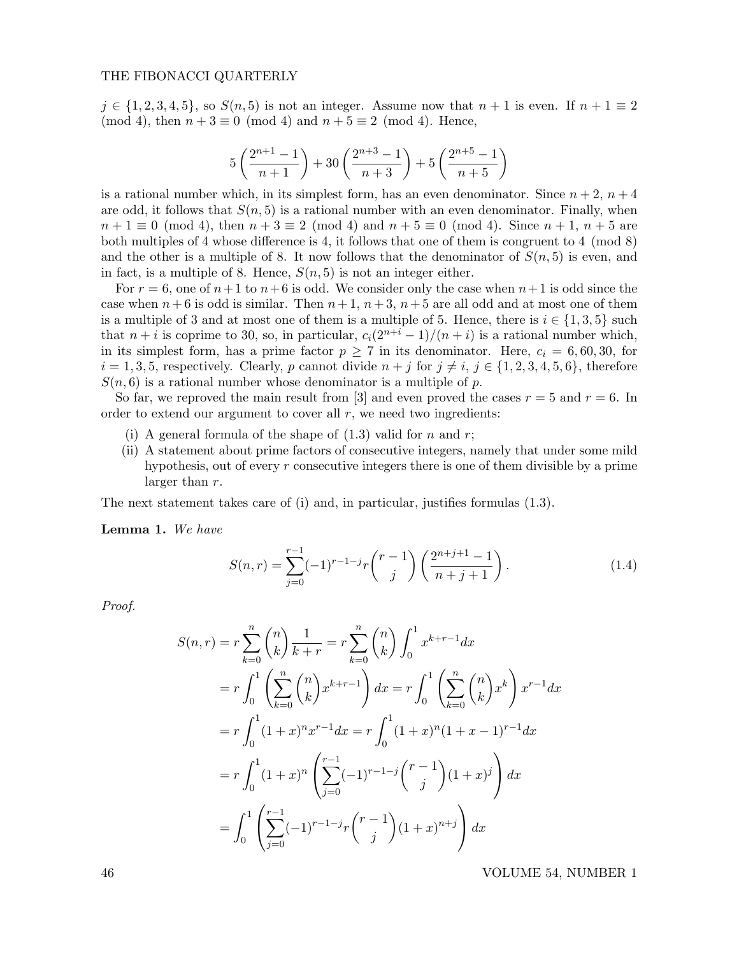## THE FIBONACCI QUARTERLY

 $j \in \{1, 2, 3, 4, 5\}$ , so  $S(n, 5)$  is not an integer. Assume now that  $n + 1$  is even. If  $n + 1 \equiv 2$ (mod 4), then  $n + 3 \equiv 0 \pmod{4}$  and  $n + 5 \equiv 2 \pmod{4}$ . Hence,

$$
5\left(\frac{2^{n+1}-1}{n+1}\right)+30\left(\frac{2^{n+3}-1}{n+3}\right)+5\left(\frac{2^{n+5}-1}{n+5}\right)
$$

is a rational number which, in its simplest form, has an even denominator. Since  $n + 2$ ,  $n + 4$ are odd, it follows that  $S(n, 5)$  is a rational number with an even denominator. Finally, when  $n + 1 \equiv 0 \pmod{4}$ , then  $n + 3 \equiv 2 \pmod{4}$  and  $n + 5 \equiv 0 \pmod{4}$ . Since  $n + 1$ ,  $n + 5$  are both multiples of 4 whose difference is 4, it follows that one of them is congruent to 4 (mod 8) and the other is a multiple of 8. It now follows that the denominator of  $S(n, 5)$  is even, and in fact, is a multiple of 8. Hence,  $S(n, 5)$  is not an integer either.

For  $r = 6$ , one of  $n+1$  to  $n+6$  is odd. We consider only the case when  $n+1$  is odd since the case when  $n+6$  is odd is similar. Then  $n+1$ ,  $n+3$ ,  $n+5$  are all odd and at most one of them is a multiple of 3 and at most one of them is a multiple of 5. Hence, there is  $i \in \{1,3,5\}$  such that  $n + i$  is coprime to 30, so, in particular,  $c_i(2^{n+i}-1)/(n+i)$  is a rational number which, in its simplest form, has a prime factor  $p \ge 7$  in its denominator. Here,  $c_i = 6,60,30$ , for  $i = 1, 3, 5$ , respectively. Clearly, p cannot divide  $n + j$  for  $j \neq i$ ,  $j \in \{1, 2, 3, 4, 5, 6\}$ , therefore  $S(n, 6)$  is a rational number whose denominator is a multiple of p.

So far, we reproved the main result from [3] and even proved the cases  $r = 5$  and  $r = 6$ . In order to extend our argument to cover all  $r$ , we need two ingredients:

- (i) A general formula of the shape of  $(1.3)$  valid for n and r;
- (ii) A statement about prime factors of consecutive integers, namely that under some mild hypothesis, out of every  $r$  consecutive integers there is one of them divisible by a prime larger than r.

The next statement takes care of (i) and, in particular, justifies formulas (1.3).

Lemma 1. We have

$$
S(n,r) = \sum_{j=0}^{r-1} (-1)^{r-1-j} r \binom{r-1}{j} \left( \frac{2^{n+j+1}-1}{n+j+1} \right).
$$
 (1.4)

Proof.

$$
S(n,r) = r \sum_{k=0}^{n} {n \choose k} \frac{1}{k+r} = r \sum_{k=0}^{n} {n \choose k} \int_{0}^{1} x^{k+r-1} dx
$$
  
\n
$$
= r \int_{0}^{1} \left( \sum_{k=0}^{n} {n \choose k} x^{k+r-1} \right) dx = r \int_{0}^{1} \left( \sum_{k=0}^{n} {n \choose k} x^{k} \right) x^{r-1} dx
$$
  
\n
$$
= r \int_{0}^{1} (1+x)^{n} x^{r-1} dx = r \int_{0}^{1} (1+x)^{n} (1+x-1)^{r-1} dx
$$
  
\n
$$
= r \int_{0}^{1} (1+x)^{n} \left( \sum_{j=0}^{r-1} (-1)^{r-1-j} {r-1 \choose j} (1+x)^{j} \right) dx
$$
  
\n
$$
= \int_{0}^{1} \left( \sum_{j=0}^{r-1} (-1)^{r-1-j} {r-1 \choose j} (1+x)^{n+j} \right) dx
$$

46 VOLUME 54, NUMBER 1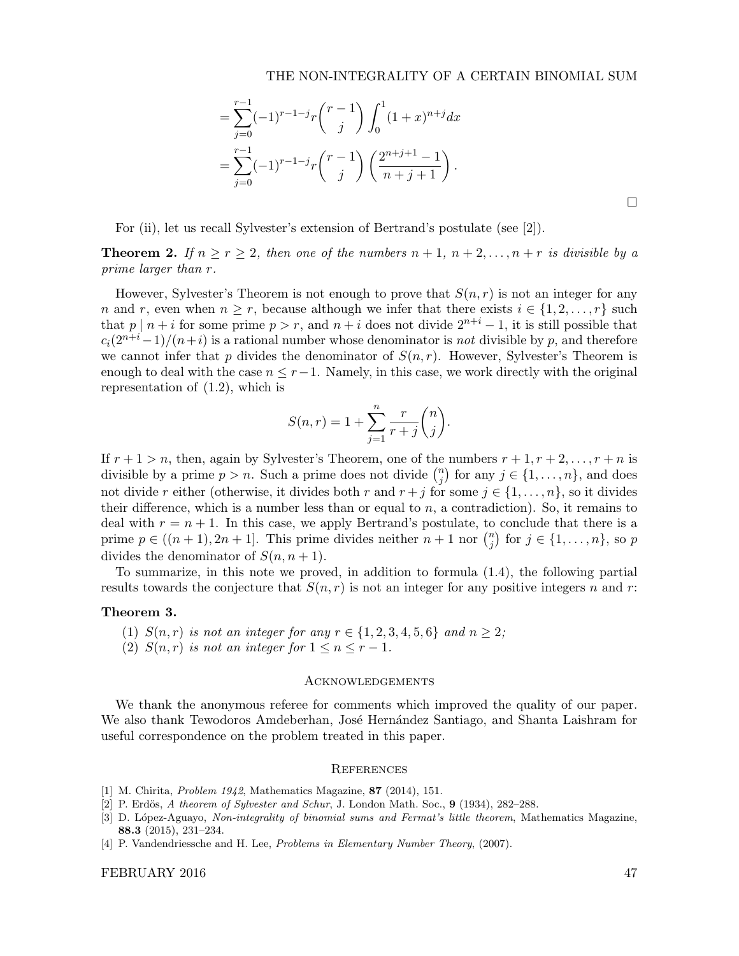# THE NON-INTEGRALITY OF A CERTAIN BINOMIAL SUM

$$
= \sum_{j=0}^{r-1} (-1)^{r-1-j} r \binom{r-1}{j} \int_0^1 (1+x)^{n+j} dx
$$
  
= 
$$
\sum_{j=0}^{r-1} (-1)^{r-1-j} r \binom{r-1}{j} \left( \frac{2^{n+j+1}-1}{n+j+1} \right).
$$

For (ii), let us recall Sylvester's extension of Bertrand's postulate (see [2]).

**Theorem 2.** If  $n \geq r \geq 2$ , then one of the numbers  $n+1$ ,  $n+2, \ldots, n+r$  is divisible by a prime larger than r.

However, Sylvester's Theorem is not enough to prove that  $S(n, r)$  is not an integer for any n and r, even when  $n \geq r$ , because although we infer that there exists  $i \in \{1, 2, ..., r\}$  such that p | n + i for some prime  $p > r$ , and  $n + i$  does not divide  $2^{n+i} - 1$ , it is still possible that  $c_i(2^{n+i}-1)/(n+i)$  is a rational number whose denominator is not divisible by p, and therefore we cannot infer that p divides the denominator of  $S(n, r)$ . However, Sylvester's Theorem is enough to deal with the case  $n \leq r-1$ . Namely, in this case, we work directly with the original representation of (1.2), which is

$$
S(n,r) = 1 + \sum_{j=1}^{n} \frac{r}{r+j} {n \choose j}.
$$

If  $r + 1 > n$ , then, again by Sylvester's Theorem, one of the numbers  $r + 1, r + 2, \ldots, r + n$  is divisible by a prime  $p > n$ . Such a prime does not divide  $\binom{n}{i}$  $j \choose j$  for any  $j \in \{1, \ldots, n\}$ , and does not divide r either (otherwise, it divides both r and  $r + j$  for some  $j \in \{1, \ldots, n\}$ , so it divides their difference, which is a number less than or equal to  $n$ , a contradiction). So, it remains to deal with  $r = n + 1$ . In this case, we apply Bertrand's postulate, to conclude that there is a prime  $p \in ((n + 1), 2n + 1]$ . This prime divides neither  $n + 1$  nor  $\binom{n}{i}$  $j \choose j$  for  $j \in \{1, \ldots, n\}$ , so  $p$ divides the denominator of  $S(n, n + 1)$ .

To summarize, in this note we proved, in addition to formula (1.4), the following partial results towards the conjecture that  $S(n, r)$  is not an integer for any positive integers n and r:

## Theorem 3.

- (1)  $S(n,r)$  is not an integer for any  $r \in \{1, 2, 3, 4, 5, 6\}$  and  $n \geq 2$ ;
- (2)  $S(n,r)$  is not an integer for  $1 \leq n \leq r-1$ .

# Acknowledgements

We thank the anonymous referee for comments which improved the quality of our paper. We also thank Tewodoros Amdeberhan, José Hernández Santiago, and Shanta Laishram for useful correspondence on the problem treated in this paper.

#### **REFERENCES**

- [1] M. Chirita, Problem 1942, Mathematics Magazine, 87 (2014), 151.
- [2] P. Erdös,  $A$  theorem of Sylvester and Schur, J. London Math. Soc.,  $9$  (1934), 282-288.
- [3] D. López-Aguayo, Non-integrality of binomial sums and Fermat's little theorem, Mathematics Magazine, 88.3 (2015), 231–234.
- [4] P. Vandendriessche and H. Lee, Problems in Elementary Number Theory, (2007).

### FEBRUARY 2016 47